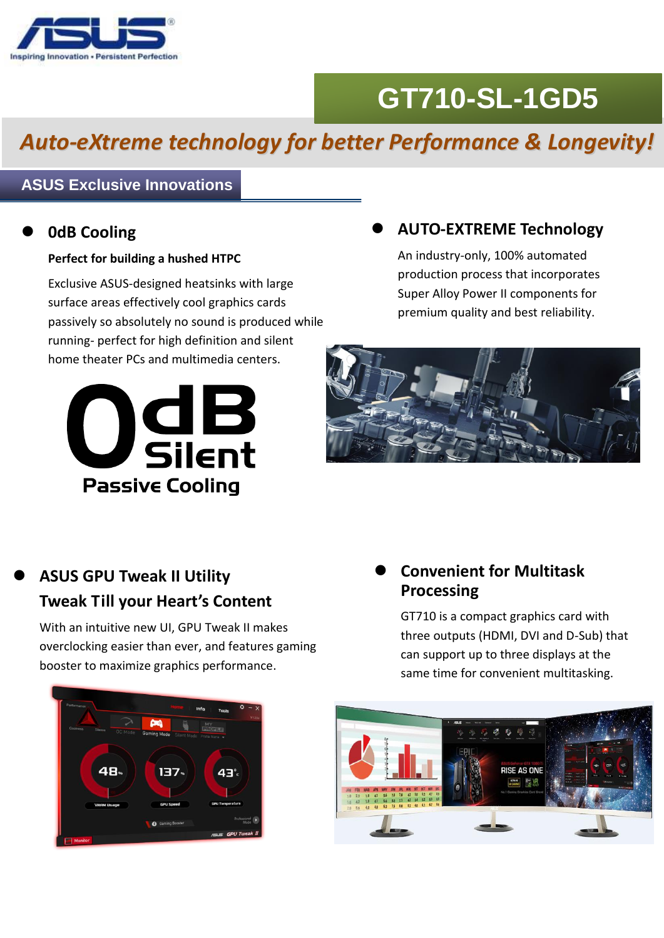

# **GT710-SL-1GD5**

## *Auto-eXtreme technology for better Performance & Longevity!*

#### **ASUS Exclusive Innovations**

#### **0dB Cooling**

#### **Perfect for building a hushed HTPC**

Exclusive ASUS-designed heatsinks with large surface areas effectively cool graphics cards passively so absolutely no sound is produced while running- perfect for high definition and silent home theater PCs and multimedia centers.



#### **AUTO-EXTREME Technology**

An industry-only, 100% automated production process that incorporates Super Alloy Power II components for premium quality and best reliability.



### **ASUS GPU Tweak II Utility Tweak Till your Heart's Content**

With an intuitive new UI, GPU Tweak II makes overclocking easier than ever, and features gaming booster to maximize graphics performance.

#### **Convenient for Multitask Processing**

GT710 is a compact graphics card with three outputs (HDMI, DVI and D-Sub) that can support up to three displays at the same time for convenient multitasking.



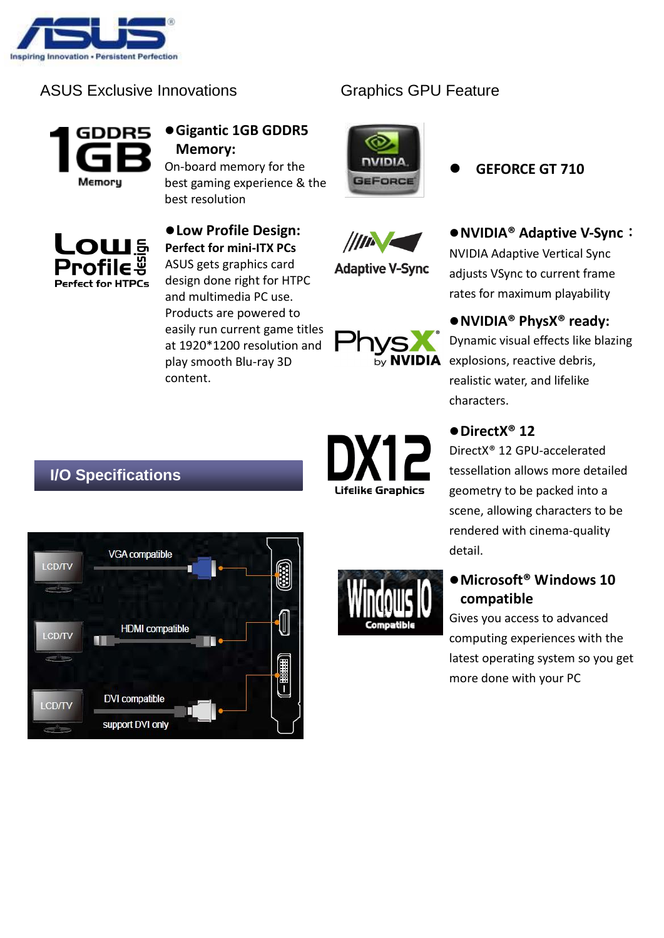

#### ASUS Exclusive Innovations



#### **Gigantic 1GB GDDR5 Memory:**

On-board memory for the best gaming experience & the best resolution



**Low Profile Design: Perfect for mini-ITX PCs** ASUS gets graphics card design done right for HTPC and multimedia PC use. Products are powered to easily run current game titles at 1920\*1200 resolution and play smooth Blu-ray 3D content.



**Adaptive V-Sync** 

**NVIDIA GEFORCE** 

Graphics GPU Feature

**GEFORCE GT 710**



#### **NVIDIA® PhysX® ready:**

rates for maximum playability

Dynamic visual effects like blazing explosions, reactive debris, realistic water, and lifelike characters.

#### ● DirectX<sup>®</sup> 12

DirectX® 12 GPU-accelerated tessellation allows more detailed geometry to be packed into a scene, allowing characters to be rendered with cinema-quality detail.

#### ● Microsoft<sup>®</sup> Windows 10 **compatible**

Gives you access to advanced computing experiences with the latest operating system so you get more done with your PC

#### **I/O Specifications**









by NV